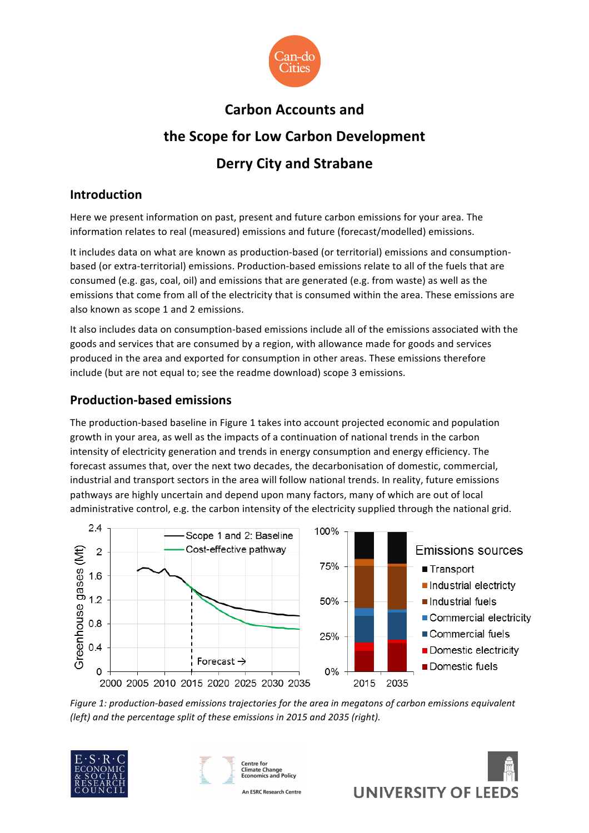

# **Carbon Accounts and the Scope for Low Carbon Development Derry City and Strabane**

## **Introduction**

Here we present information on past, present and future carbon emissions for your area. The information relates to real (measured) emissions and future (forecast/modelled) emissions.

It includes data on what are known as production-based (or territorial) emissions and consumptionbased (or extra-territorial) emissions. Production-based emissions relate to all of the fuels that are consumed (e.g. gas, coal, oil) and emissions that are generated (e.g. from waste) as well as the emissions that come from all of the electricity that is consumed within the area. These emissions are also known as scope 1 and 2 emissions.

It also includes data on consumption-based emissions include all of the emissions associated with the goods and services that are consumed by a region, with allowance made for goods and services produced in the area and exported for consumption in other areas. These emissions therefore include (but are not equal to; see the readme download) scope 3 emissions.

## **Production-based emissions**

The production-based baseline in Figure 1 takes into account projected economic and population growth in your area, as well as the impacts of a continuation of national trends in the carbon intensity of electricity generation and trends in energy consumption and energy efficiency. The forecast assumes that, over the next two decades, the decarbonisation of domestic, commercial, industrial and transport sectors in the area will follow national trends. In reality, future emissions pathways are highly uncertain and depend upon many factors, many of which are out of local administrative control, e.g. the carbon intensity of the electricity supplied through the national grid.



*Figure 1: production-based emissions trajectories for the area in megatons of carbon emissions equivalent (left)* and the percentage split of these emissions in 2015 and 2035 (right).







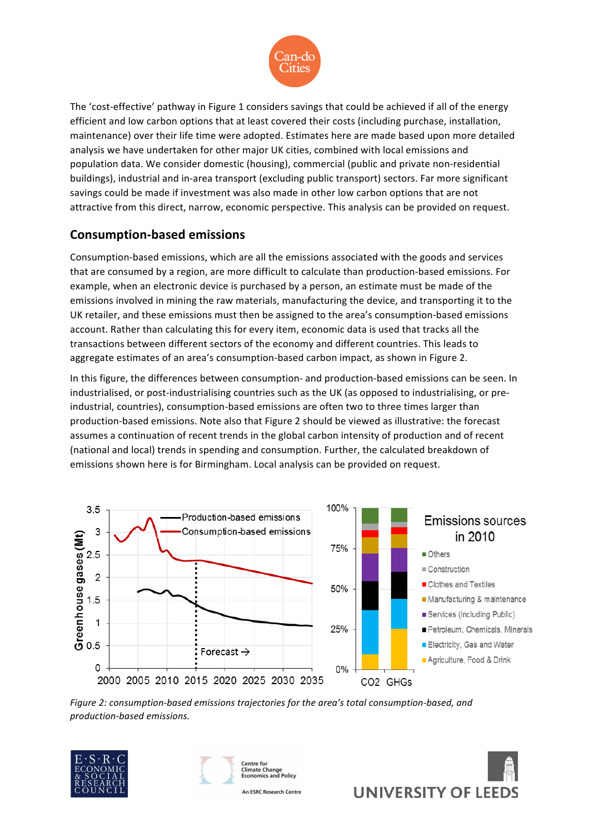

The 'cost-effective' pathway in Figure 1 considers savings that could be achieved if all of the energy efficient and low carbon options that at least covered their costs (including purchase, installation, maintenance) over their life time were adopted. Estimates here are made based upon more detailed analysis we have undertaken for other major UK cities, combined with local emissions and population data. We consider domestic (housing), commercial (public and private non-residential buildings), industrial and in-area transport (excluding public transport) sectors. Far more significant savings could be made if investment was also made in other low carbon options that are not attractive from this direct, narrow, economic perspective. This analysis can be provided on request.

## **Consumption-based emissions**

Consumption-based emissions, which are all the emissions associated with the goods and services that are consumed by a region, are more difficult to calculate than production-based emissions. For example, when an electronic device is purchased by a person, an estimate must be made of the emissions involved in mining the raw materials, manufacturing the device, and transporting it to the UK retailer, and these emissions must then be assigned to the area's consumption-based emissions account. Rather than calculating this for every item, economic data is used that tracks all the transactions between different sectors of the economy and different countries. This leads to aggregate estimates of an area's consumption-based carbon impact, as shown in Figure 2.

In this figure, the differences between consumption- and production-based emissions can be seen. In industrialised, or post-industrialising countries such as the UK (as opposed to industrialising, or preindustrial, countries), consumption-based emissions are often two to three times larger than production-based emissions. Note also that Figure 2 should be viewed as illustrative: the forecast assumes a continuation of recent trends in the global carbon intensity of production and of recent (national and local) trends in spending and consumption. Further, the calculated breakdown of emissions shown here is for Birmingham. Local analysis can be provided on request.



Figure 2: consumption-based emissions trajectories for the area's total consumption-based, and *production-based emissions.*





Centre for **Climate Change<br>Economics and Policy** 

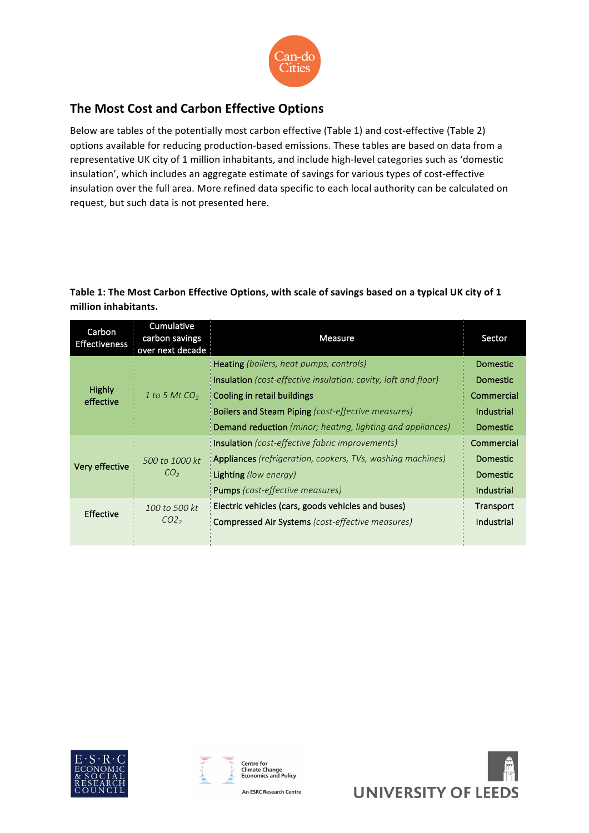

## **The Most Cost and Carbon Effective Options**

Below are tables of the potentially most carbon effective (Table 1) and cost-effective (Table 2) options available for reducing production-based emissions. These tables are based on data from a representative UK city of 1 million inhabitants, and include high-level categories such as 'domestic insulation', which includes an aggregate estimate of savings for various types of cost-effective insulation over the full area. More refined data specific to each local authority can be calculated on request, but such data is not presented here.

#### Table 1: The Most Carbon Effective Options, with scale of savings based on a typical UK city of 1 million inhabitants.

| Carbon<br><b>Effectiveness</b> | Cumulative<br>carbon savings<br>over next decade | <b>Measure</b>                                                                                                                                                                                                                                                                    | Sector                                                                            |
|--------------------------------|--------------------------------------------------|-----------------------------------------------------------------------------------------------------------------------------------------------------------------------------------------------------------------------------------------------------------------------------------|-----------------------------------------------------------------------------------|
| <b>Highly</b><br>effective     | 1 to 5 Mt $CO2$                                  | Heating (boilers, heat pumps, controls)<br><b>Insulation</b> (cost-effective insulation: cavity, loft and floor)<br>Cooling in retail buildings<br><b>Boilers and Steam Piping</b> (cost-effective measures)<br><b>Demand reduction</b> (minor; heating, lighting and appliances) | <b>Domestic</b><br><b>Domestic</b><br>Commercial<br>Industrial<br><b>Domestic</b> |
| Very effective                 | 500 to 1000 kt<br>CO <sub>2</sub>                | <b>Insulation</b> (cost-effective fabric improvements)<br><b>Appliances</b> (refrigeration, cookers, TVs, washing machines)<br>Lighting (low energy)<br><b>Pumps</b> (cost-effective measures)                                                                                    | Commercial<br>Domestic<br><b>Domestic</b><br>Industrial                           |
| <b>Effective</b>               | 100 to 500 kt<br>CO <sub>2</sub>                 | Electric vehicles (cars, goods vehicles and buses)<br>Compressed Air Systems (cost-effective measures)                                                                                                                                                                            | <b>Transport</b><br>Industrial                                                    |